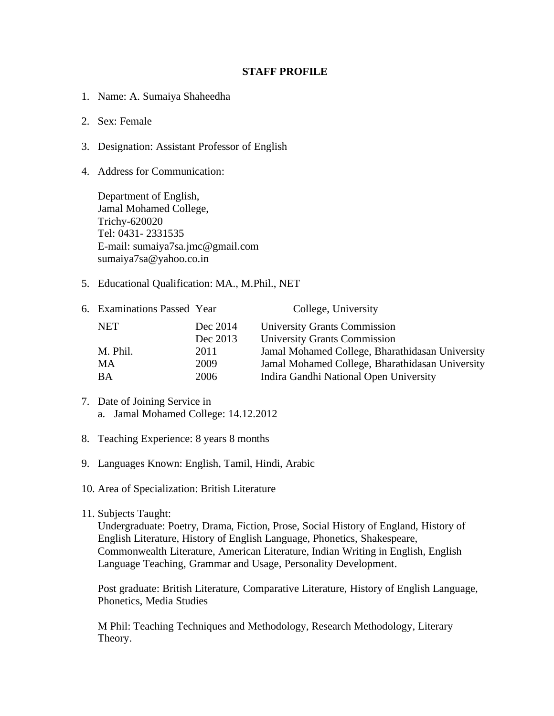## **STAFF PROFILE**

- 1. Name: A. Sumaiya Shaheedha
- 2. Sex: Female
- 3. Designation: Assistant Professor of English
- 4. Address for Communication:

Department of English, Jamal Mohamed College, Trichy-620020 Tel: 0431- 2331535 E-mail: sumaiya7sa.jmc@gmail.com sumaiya7sa@yahoo.co.in

5. Educational Qualification: MA., M.Phil., NET

| 6. Examinations Passed Year |          | College, University                             |
|-----------------------------|----------|-------------------------------------------------|
| <b>NET</b>                  | Dec 2014 | University Grants Commission                    |
|                             | Dec 2013 | <b>University Grants Commission</b>             |
| M. Phil.                    | 2011     | Jamal Mohamed College, Bharathidasan University |
| МA                          | 2009     | Jamal Mohamed College, Bharathidasan University |
| BA                          | 2006     | Indira Gandhi National Open University          |

- 7. Date of Joining Service in a. Jamal Mohamed College: 14.12.2012
- 8. Teaching Experience: 8 years 8 months
- 9. Languages Known: English, Tamil, Hindi, Arabic
- 10. Area of Specialization: British Literature
- 11. Subjects Taught:

Undergraduate: Poetry, Drama, Fiction, Prose, Social History of England, History of English Literature, History of English Language, Phonetics, Shakespeare, Commonwealth Literature, American Literature, Indian Writing in English, English Language Teaching, Grammar and Usage, Personality Development.

Post graduate: British Literature, Comparative Literature, History of English Language, Phonetics, Media Studies

M Phil: Teaching Techniques and Methodology, Research Methodology, Literary Theory.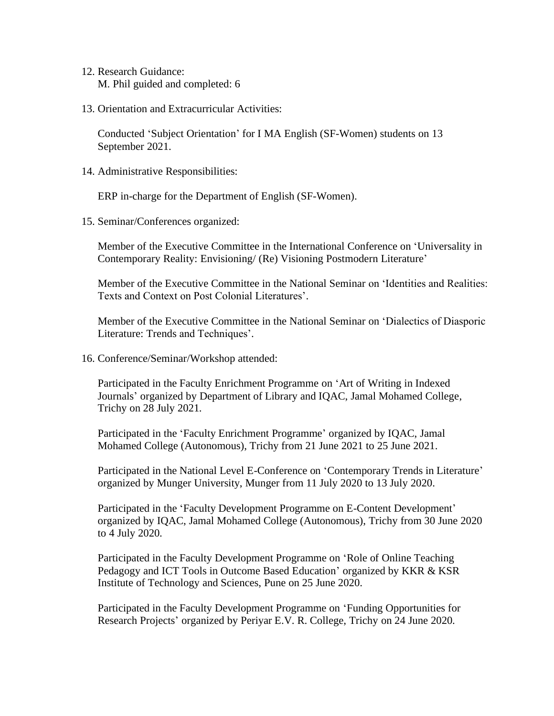- 12. Research Guidance: M. Phil guided and completed: 6
- 13. Orientation and Extracurricular Activities:

Conducted 'Subject Orientation' for I MA English (SF-Women) students on 13 September 2021.

14. Administrative Responsibilities:

ERP in-charge for the Department of English (SF-Women).

15. Seminar/Conferences organized:

Member of the Executive Committee in the International Conference on 'Universality in Contemporary Reality: Envisioning/ (Re) Visioning Postmodern Literature'

Member of the Executive Committee in the National Seminar on 'Identities and Realities: Texts and Context on Post Colonial Literatures'.

Member of the Executive Committee in the National Seminar on 'Dialectics of Diasporic Literature: Trends and Techniques'.

16. Conference/Seminar/Workshop attended:

Participated in the Faculty Enrichment Programme on 'Art of Writing in Indexed Journals' organized by Department of Library and IQAC, Jamal Mohamed College, Trichy on 28 July 2021.

Participated in the 'Faculty Enrichment Programme' organized by IQAC, Jamal Mohamed College (Autonomous), Trichy from 21 June 2021 to 25 June 2021.

Participated in the National Level E-Conference on 'Contemporary Trends in Literature' organized by Munger University, Munger from 11 July 2020 to 13 July 2020.

Participated in the 'Faculty Development Programme on E-Content Development' organized by IQAC, Jamal Mohamed College (Autonomous), Trichy from 30 June 2020 to 4 July 2020.

Participated in the Faculty Development Programme on 'Role of Online Teaching Pedagogy and ICT Tools in Outcome Based Education' organized by KKR & KSR Institute of Technology and Sciences, Pune on 25 June 2020.

Participated in the Faculty Development Programme on 'Funding Opportunities for Research Projects' organized by Periyar E.V. R. College, Trichy on 24 June 2020.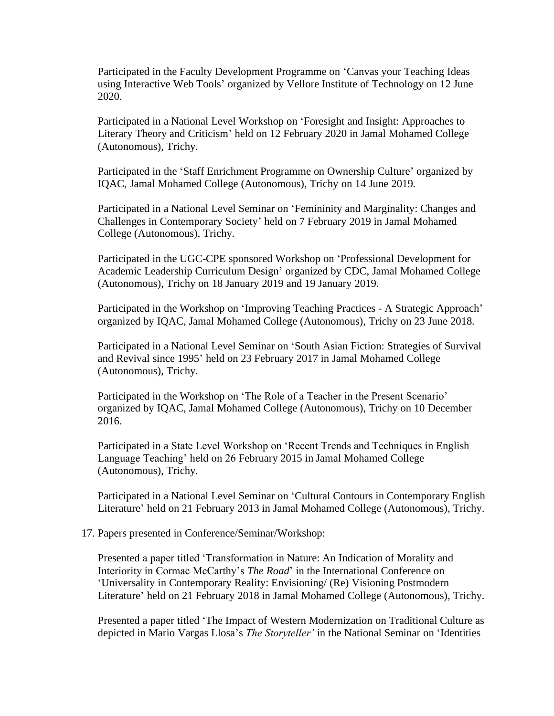Participated in the Faculty Development Programme on 'Canvas your Teaching Ideas using Interactive Web Tools' organized by Vellore Institute of Technology on 12 June 2020.

Participated in a National Level Workshop on 'Foresight and Insight: Approaches to Literary Theory and Criticism' held on 12 February 2020 in Jamal Mohamed College (Autonomous), Trichy.

Participated in the 'Staff Enrichment Programme on Ownership Culture' organized by IQAC, Jamal Mohamed College (Autonomous), Trichy on 14 June 2019.

Participated in a National Level Seminar on 'Femininity and Marginality: Changes and Challenges in Contemporary Society' held on 7 February 2019 in Jamal Mohamed College (Autonomous), Trichy.

Participated in the UGC-CPE sponsored Workshop on 'Professional Development for Academic Leadership Curriculum Design' organized by CDC, Jamal Mohamed College (Autonomous), Trichy on 18 January 2019 and 19 January 2019.

Participated in the Workshop on 'Improving Teaching Practices - A Strategic Approach' organized by IQAC, Jamal Mohamed College (Autonomous), Trichy on 23 June 2018.

Participated in a National Level Seminar on 'South Asian Fiction: Strategies of Survival and Revival since 1995' held on 23 February 2017 in Jamal Mohamed College (Autonomous), Trichy.

Participated in the Workshop on 'The Role of a Teacher in the Present Scenario' organized by IQAC, Jamal Mohamed College (Autonomous), Trichy on 10 December 2016.

Participated in a State Level Workshop on 'Recent Trends and Techniques in English Language Teaching' held on 26 February 2015 in Jamal Mohamed College (Autonomous), Trichy.

Participated in a National Level Seminar on 'Cultural Contours in Contemporary English Literature' held on 21 February 2013 in Jamal Mohamed College (Autonomous), Trichy.

## 17. Papers presented in Conference/Seminar/Workshop:

Presented a paper titled 'Transformation in Nature: An Indication of Morality and Interiority in Cormac McCarthy's *The Road*' in the International Conference on 'Universality in Contemporary Reality: Envisioning/ (Re) Visioning Postmodern Literature' held on 21 February 2018 in Jamal Mohamed College (Autonomous), Trichy.

Presented a paper titled 'The Impact of Western Modernization on Traditional Culture as depicted in Mario Vargas Llosa's *The Storyteller'* in the National Seminar on 'Identities